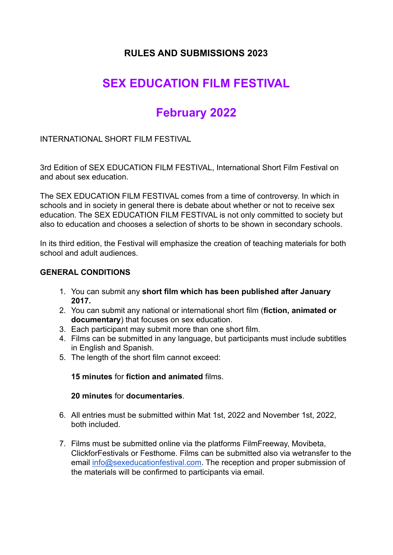# **RULES AND SUBMISSIONS 2023**

# **SEX EDUCATION FILM FESTIVAL**

# **February 2022**

INTERNATIONAL SHORT FILM FESTIVAL

3rd Edition of SEX EDUCATION FILM FESTIVAL, International Short Film Festival on and about sex education.

The SEX EDUCATION FILM FESTIVAL comes from a time of controversy. In which in schools and in society in general there is debate about whether or not to receive sex education. The SEX EDUCATION FILM FESTIVAL is not only committed to society but also to education and chooses a selection of shorts to be shown in secondary schools.

In its third edition, the Festival will emphasize the creation of teaching materials for both school and adult audiences.

#### **GENERAL CONDITIONS**

- 1. You can submit any **short film which has been published after January 2017.**
- 2. You can submit any national or international short film (**fiction, animated or documentary**) that focuses on sex education.
- 3. Each participant may submit more than one short film.
- 4. Films can be submitted in any language, but participants must include subtitles in English and Spanish.
- 5. The length of the short film cannot exceed:

**15 minutes** for **fiction and animated** films.

#### **20 minutes** for **documentaries**.

- 6. All entries must be submitted within Mat 1st, 2022 and November 1st, 2022, both included.
- 7. Films must be submitted online via the platforms FilmFreeway, Movibeta, ClickforFestivals or Festhome. Films can be submitted also via wetransfer to the email [info@sexeducationfestival.com.](mailto:info@sexeducationfestival.com) The reception and proper submission of the materials will be confirmed to participants via email.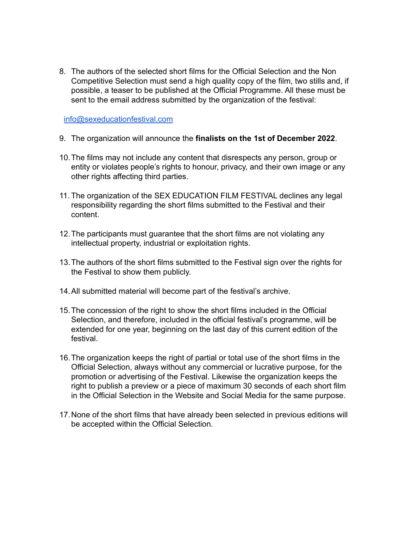8. The authors of the selected short films for the Official Selection and the Non Competitive Selection must send a high quality copy of the film, two stills and, if possible, a teaser to be published at the Official Programme. All these must be sent to the email address submitted by the organization of the festival:

[info@sexeducationfestival.com](mailto:info@sexeducationfestival.com)

- 9. The organization will announce the **finalists on the 1st of December 2022**.
- 10.The films may not include any content that disrespects any person, group or entity or violates people's rights to honour, privacy, and their own image or any other rights affecting third parties.
- 11. The organization of the SEX EDUCATION FILM FESTIVAL declines any legal responsibility regarding the short films submitted to the Festival and their content.
- 12.The participants must guarantee that the short films are not violating any intellectual property, industrial or exploitation rights.
- 13.The authors of the short films submitted to the Festival sign over the rights for the Festival to show them publicly.
- 14.All submitted material will become part of the festival's archive.
- 15.The concession of the right to show the short films included in the Official Selection, and therefore, included in the official festival's programme, will be extended for one year, beginning on the last day of this current edition of the festival.
- 16.The organization keeps the right of partial or total use of the short films in the Official Selection, always without any commercial or lucrative purpose, for the promotion or advertising of the Festival. Likewise the organization keeps the right to publish a preview or a piece of maximum 30 seconds of each short film in the Official Selection in the Website and Social Media for the same purpose.
- 17.None of the short films that have already been selected in previous editions will be accepted within the Official Selection.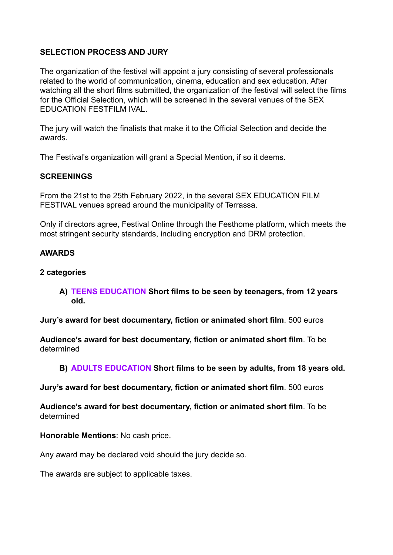### **SELECTION PROCESS AND JURY**

The organization of the festival will appoint a jury consisting of several professionals related to the world of communication, cinema, education and sex education. After watching all the short films submitted, the organization of the festival will select the films for the Official Selection, which will be screened in the several venues of the SEX EDUCATION FESTFILM IVAL.

The jury will watch the finalists that make it to the Official Selection and decide the awards.

The Festival's organization will grant a Special Mention, if so it deems.

#### **SCREENINGS**

From the 21st to the 25th February 2022, in the several SEX EDUCATION FILM FESTIVAL venues spread around the municipality of Terrassa.

Only if directors agree, Festival Online through the Festhome platform, which meets the most stringent security standards, including encryption and DRM protection.

#### **AWARDS**

#### **2 categories**

**A) TEENS EDUCATION Short films to be seen by teenagers, from 12 years old.**

**Jury's award for best documentary, fiction or animated short film**. 500 euros

**Audience's award for best documentary, fiction or animated short film**. To be determined

#### **B) ADULTS EDUCATION Short films to be seen by adults, from 18 years old.**

**Jury's award for best documentary, fiction or animated short film**. 500 euros

**Audience's award for best documentary, fiction or animated short film**. To be determined

**Honorable Mentions**: No cash price.

Any award may be declared void should the jury decide so.

The awards are subject to applicable taxes.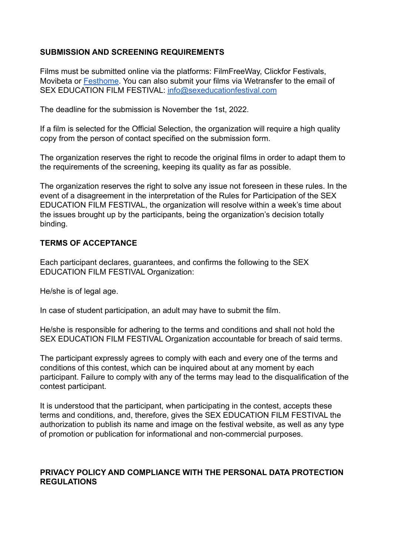#### **SUBMISSION AND SCREENING REQUIREMENTS**

Films must be submitted online via the platforms: FilmFreeWay, Clickfor Festivals, Movibeta or [Festhome](https://festhome.com/). You can also submit your films via Wetransfer to the email of SEX EDUCATION FILM FESTIVAL: [info@sexeducationfestival.com](mailto:info@sexeducationfestival.com)

The deadline for the submission is November the 1st, 2022.

If a film is selected for the Official Selection, the organization will require a high quality copy from the person of contact specified on the submission form.

The organization reserves the right to recode the original films in order to adapt them to the requirements of the screening, keeping its quality as far as possible.

The organization reserves the right to solve any issue not foreseen in these rules. In the event of a disagreement in the interpretation of the Rules for Participation of the SEX EDUCATION FILM FESTIVAL, the organization will resolve within a week's time about the issues brought up by the participants, being the organization's decision totally binding.

#### **TERMS OF ACCEPTANCE**

Each participant declares, guarantees, and confirms the following to the SEX EDUCATION FILM FESTIVAL Organization:

He/she is of legal age.

In case of student participation, an adult may have to submit the film.

He/she is responsible for adhering to the terms and conditions and shall not hold the SEX EDUCATION FILM FESTIVAL Organization accountable for breach of said terms.

The participant expressly agrees to comply with each and every one of the terms and conditions of this contest, which can be inquired about at any moment by each participant. Failure to comply with any of the terms may lead to the disqualification of the contest participant.

It is understood that the participant, when participating in the contest, accepts these terms and conditions, and, therefore, gives the SEX EDUCATION FILM FESTIVAL the authorization to publish its name and image on the festival website, as well as any type of promotion or publication for informational and non-commercial purposes.

#### **PRIVACY POLICY AND COMPLIANCE WITH THE PERSONAL DATA PROTECTION REGULATIONS**